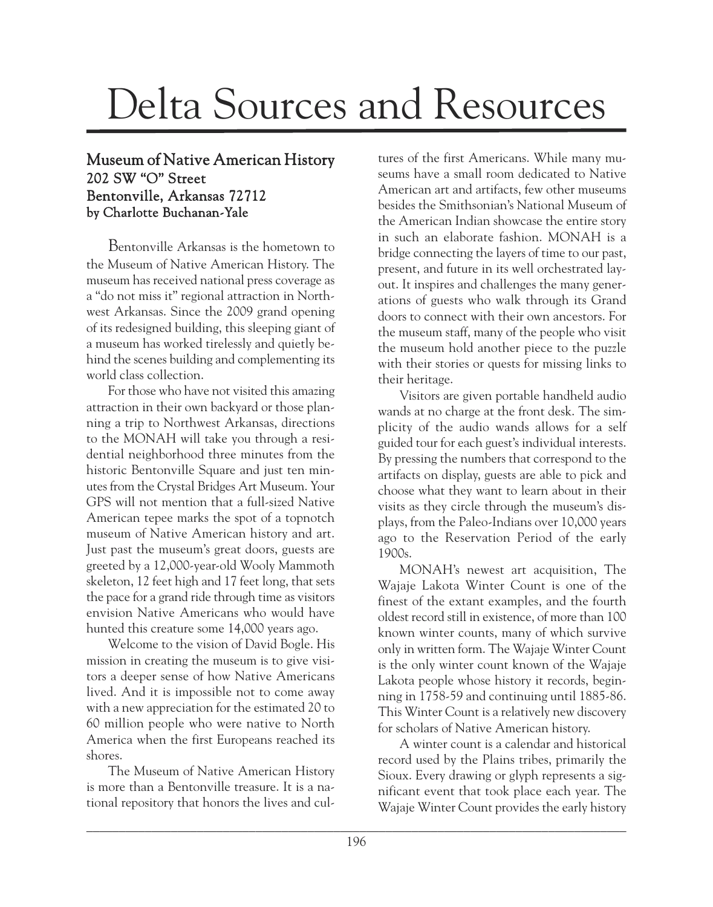## Delta Sources and Resources

## Museum of Native American History 202 SW "O" Street Bentonville, Arkansas 72712 by Charlotte Buchanan-Yale

Bentonville Arkansas is the hometown to the Museum of Native American History. The museum has received national press coverage as a "do not miss it" regional attraction in Northwest Arkansas. Since the 2009 grand opening of its redesigned building, this sleeping giant of a museum has worked tirelessly and quietly behind the scenes building and complementing its world class collection.

For those who have not visited this amazing attraction in their own backyard or those planning a trip to Northwest Arkansas, directions to the MONAH will take you through a residential neighborhood three minutes from the historic Bentonville Square and just ten minutes from the Crystal Bridges Art Museum. Your GPS will not mention that a full-sized Native American tepee marks the spot of a topnotch museum of Native American history and art. Just past the museum's great doors, guests are greeted by a 12,000-year-old Wooly Mammoth skeleton, 12 feet high and 17 feet long, that sets the pace for a grand ride through time as visitors envision Native Americans who would have hunted this creature some 14,000 years ago.

Welcome to the vision of David Bogle. His mission in creating the museum is to give visitors a deeper sense of how Native Americans lived. And it is impossible not to come away with a new appreciation for the estimated 20 to 60 million people who were native to North America when the first Europeans reached its shores.

The Museum of Native American History is more than a Bentonville treasure. It is a national repository that honors the lives and cultures of the first Americans. While many museums have a small room dedicated to Native American art and artifacts, few other museums besides the Smithsonian's National Museum of the American Indian showcase the entire story in such an elaborate fashion. MONAH is a bridge connecting the layers of time to our past, present, and future in its well orchestrated layout. It inspires and challenges the many generations of guests who walk through its Grand doors to connect with their own ancestors. For the museum staff, many of the people who visit the museum hold another piece to the puzzle with their stories or quests for missing links to their heritage.

Visitors are given portable handheld audio wands at no charge at the front desk. The simplicity of the audio wands allows for a self guided tour for each guest's individual interests. By pressing the numbers that correspond to the artifacts on display, guests are able to pick and choose what they want to learn about in their visits as they circle through the museum's displays, from the Paleo-Indians over 10,000 years ago to the Reservation Period of the early 1900s.

MONAH's newest art acquisition, The Wajaje Lakota Winter Count is one of the finest of the extant examples, and the fourth oldest record still in existence, of more than 100 known winter counts, many of which survive only in written form. The Wajaje Winter Count is the only winter count known of the Wajaje Lakota people whose history it records, beginning in 1758-59 and continuing until 1885-86. This Winter Count is a relatively new discovery for scholars of Native American history.

A winter count is a calendar and historical record used by the Plains tribes, primarily the Sioux. Every drawing or glyph represents a significant event that took place each year. The Wajaje Winter Count provides the early history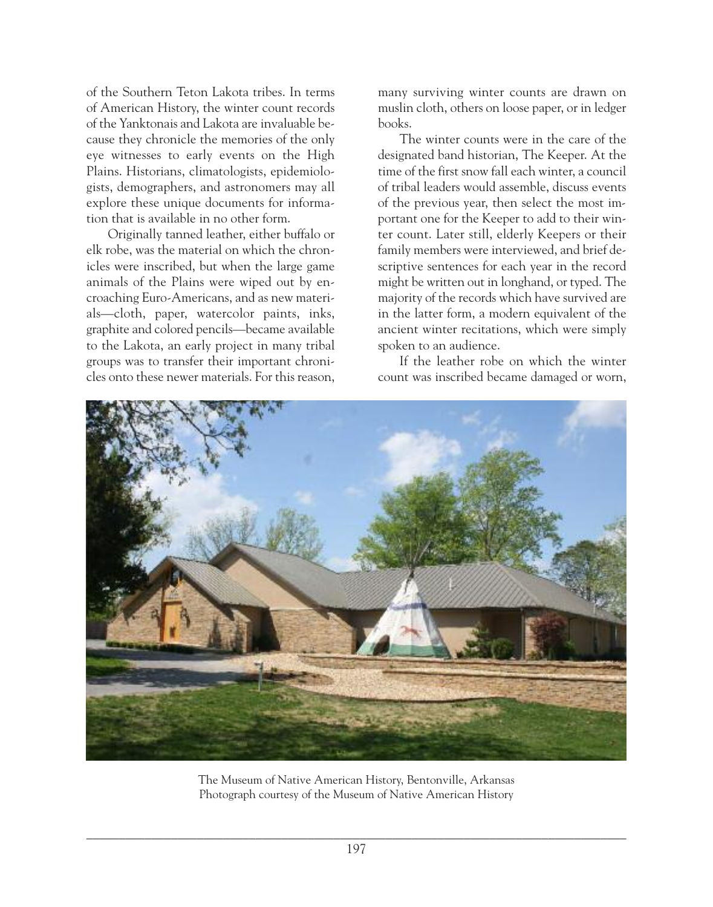of the Southern Teton Lakota tribes. In terms of American History, the winter count records of the Yanktonais and Lakota are invaluable because they chronicle the memories of the only eye witnesses to early events on the High Plains. Historians, climatologists, epidemiologists, demographers, and astronomers may all explore these unique documents for information that is available in no other form.

Originally tanned leather, either buffalo or elk robe, was the material on which the chronicles were inscribed, but when the large game animals of the Plains were wiped out by encroaching Euro-Americans, and as new materials—cloth, paper, watercolor paints, inks, graphite and colored pencils—became available to the Lakota, an early project in many tribal groups was to transfer their important chronicles onto these newer materials. For this reason, many surviving winter counts are drawn on muslin cloth, others on loose paper, or in ledger books.

The winter counts were in the care of the designated band historian, The Keeper. At the time of the first snow fall each winter, a council of tribal leaders would assemble, discuss events of the previous year, then select the most important one for the Keeper to add to their winter count. Later still, elderly Keepers or their family members were interviewed, and brief descriptive sentences for each year in the record might be written out in longhand, or typed. The majority of the records which have survived are in the latter form, a modern equivalent of the ancient winter recitations, which were simply spoken to an audience.

If the leather robe on which the winter count was inscribed became damaged or worn,



The Museum of Native American History, Bentonville, Arkansas Photograph courtesy of the Museum of Native American History